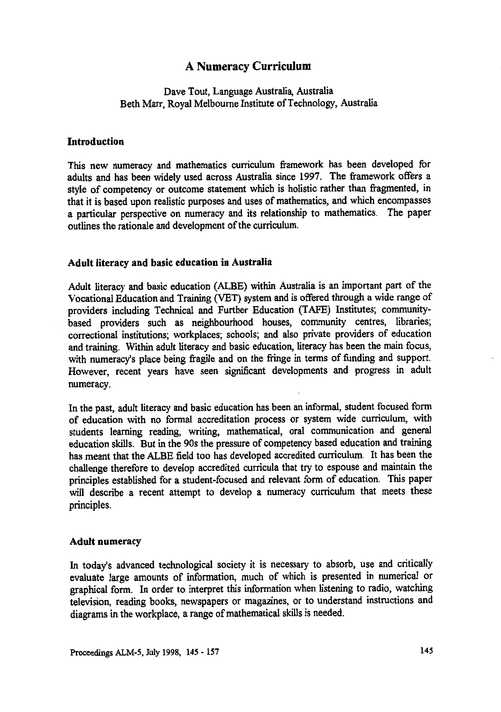# **A Numeracy Curriculum**

## Dave Tout, Language Australia, Australia **Rpth Marr, Royal Melbourne Institute of** Technology, Australia

#### **Introduction**

This *new* numeracy and mathematics curriculum framework has been developed for adults and has been widely used across Australia since 1997. The framework offers a style of competency or outcome statement which is holistic rather than fragmented, in that it is based upon realistic purposes and uses of mathematics, and which encompasses a particular perspective on numeracy and its relationship to mathematics. The paper outlines the rationale and development of the curriculum.

#### **Adult literacy and basic education in Australia**

Adult literacy and basic education (ALBE) within Australia is an important part of the Vocational Education and Training (VET) system and is offered through a wide range of providers including Technical and Further Education (TAFE) Institutes; communitybased providers such as neighbourhood houses, community centres, libraries; correctional institutions; workplaces; schools; and also private providers of education and training. Within adult literacy and basic education, literacy has been the main focus, with numeracy's place being fragile and on the fringe in terms of funding and support. However, recent years have seen significant developments and progress in adult numeracy.

In the past, adult literacy and basic education has been an informal, student focused form of education with no formal accreditation process or system wide curriculum, with students learning reading, writing, mathematical, oral communication and general education skills. But in the 90s the pressure of competency based education and training has meant that the ALBE field too has developed accredited curriculum. It has been the challenge therefore to develop accredited curricula that try to espouse and maintain the principles established for a student-focused and relevant form of education. This paper will describe a recent attempt to develop a numeracy curriculum that meets these principles.

#### **Adult numeracy**

In today's advanced technological society it is necessary to absorb, use and critically evaluate large amounts of information, much of which is presented in numerical or graphical form. In order to interpret this information when listening to radio, watching television, reading books, newspapers or magazines, or to understand instructions and diagrams in the workplace, a range of mathematical skills is needed.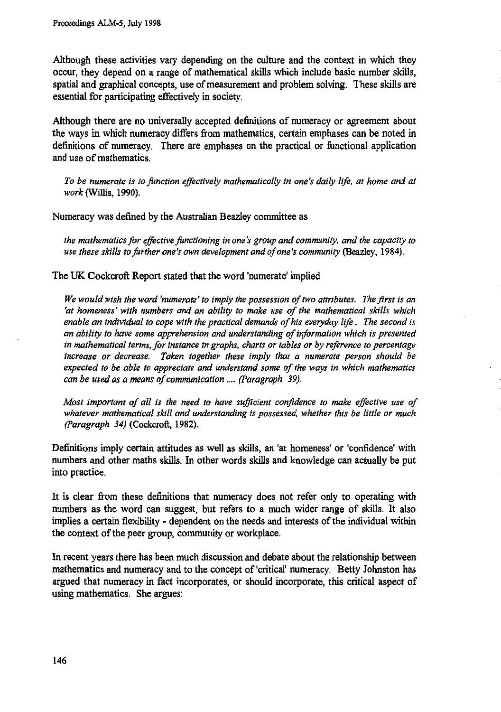**Although these activities vary depending on the culture and the context in which they occur, they depend on a range of mathematical skills which include basic number skills, spatial and graphical concepts, use of measurement and problem solving. These skills are essential for participating effectively in society.**

**Although there are no universally accepted definitions of numeracy or agreement about the ways in which numeracy differs from mathematics, certain emphases can be noted in definitions of numeracy. There are emphases on the practical or functional application and use of mathematics.**

*To be numerate is to function effectively mathematically in one's daily life, at home and at work* (Willis, 1990).

**Numeracy was defined by the Australian Beazley committee as**

*the mathematics for effective functioning in one's group and community, and the capacity to use these skills to further one's own development and of one's community* (Beazley, 1984).

**The UK Cockcroft Report stated that the word 'numerate' implied**

*We would wish the word 'numerate' to imply the possession of two attributes. The first is an 'at homeness' with numbers and an ability to make use of the mathematical skills which enable an individual to cope with the practical demands of his everyday life . The second is an ability to have some apprehension and understanding of information which is presented in mathematical terms, for instance in graphs, charts or tables or by reference to percentage increase or decrease. Taken together these imply that a numerate person should be expected to be able to appreciate and understand some of the ways in which mathematics can be used as a means of communication .... (Paragraph 39).*

*Most important of all is the need to have sufficient confidence to make effective use of whatever mathematical skill and understanding is possessed, whether this be little or much (Paragraph 34)* (Cockcroft, 1982).

**Definitions imply certain attitudes as well as skills, an 'at homeness' or 'confidence' with numbers and other maths skills. In other words skills and knowledge can actually be put into practice.**

**It is clear from these definitions that numeracy does not refer only to operating with numbers as the word can suggest, but refers to a much wider range of skills. It also implies a certain flexibility - dependent on the needs and interests of the individual within the context of the peer group, community or workplace.**

**In recent years there has been much discussion and debate about the relationship between mathematics and numeracy and to the concept of 'critical' numeracy. Betty Johnston has argued that numeracy in fact incorporates, or should incorporate, this critical aspect of using mathematics. She argues:**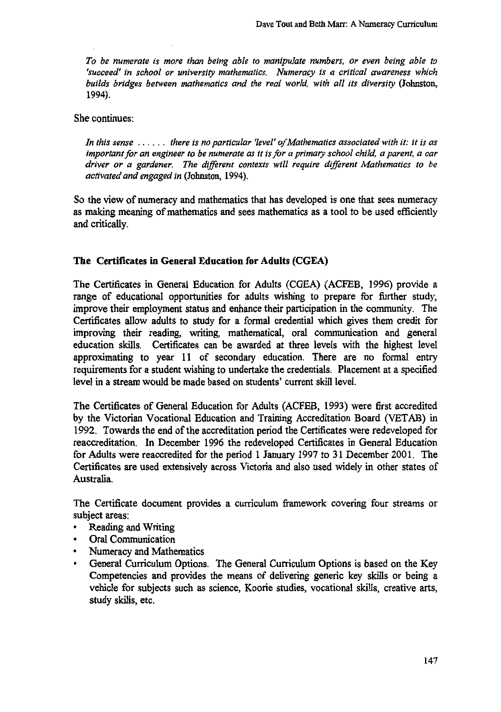*To be numerate is more than being able to manipulate numbers, or even being able to 'succeed' in school or university mathematics. Numeracy is a critical awareness which builds bridges between mathematics and the real world, with all its diversity* **(Johnston, 1994).**

**She continues:**

*In this sense ........... there is no particular 'level' ofMathematics associated with it: it is as important for an engineer to be numerate as it is for a primary school child, a parent, a car driver or a gardener. The different contexts will require different Mathematics to be activated and engaged in* **(Johnston, 1994).**

**So the view of numeracy and mathematics that has developed is one that sees numeracy as making meaning of mathematics and sees mathematics as a tool to be used efficiently and critically.**

## **The Certificates in General Education for Adults (CGEA)**

**The Certificates in General Education for Adults (CGEA) (ACFEB, 1996) provide a range of educational opportunities for adults wishing to prepare for further study, improve their employment status and enhance their participation in the community. The Certificates allow adults to study for a formal credential which gives them credit for improving their reading, writing, mathematical, oral communication and general education skills. Certificates can be awarded at three levels with the highest level approximating to year 11 of secondary education. There are no formal entry requirements for a student wishing to undertake the credentials. Placement at a specified level in a stream would be made based on students' current skill level.**

**The Certificates of General Education for Adults (ACFEB, 1993) were first accredited by the Victorian Vocational Education and Training Accreditation Board (VETAB) in 1992. Towards the end of the accreditation period the Certificates were redeveloped for reaccreditation. In December 1996 the redeveloped Certificates in General Education for Adults were reaccredited for the period 1 January 1997 to 31 December 2001. The Certificates are used extensively across Victoria and also used widely in other states of Australia.**

**The Certificate document provides a curriculum framework covering four streams or subject areas:**

- **• Reading and Writing**
- **• Oral Communication**
- **• Numeracy and Mathematics**
- **• General Curriculum Options. The General Curriculum Options is based on the Key Competencies and provides the means of delivering generic key skills or being a vehicle for subjects such as science, Koorie studies, vocational skills, creative arts, study skills, etc.**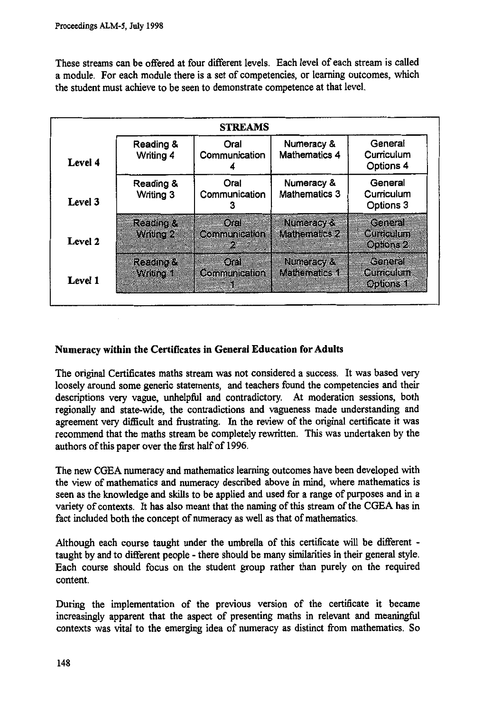These streams can be offered at four different levels. Each level of each stream is called a module. For each module there is a set of competencies, or learning outcomes, which the student must achieve to be seen to demonstrate competence at that level.

|         |                        | <b>STREAMS</b>                       |                                    |                                    |
|---------|------------------------|--------------------------------------|------------------------------------|------------------------------------|
| Level 4 | Reading &<br>Writing 4 | Oral<br>Communication                | Numeracy &<br><b>Mathematics 4</b> | General<br>Curriculum<br>Options 4 |
| Level 3 | Reading &<br>Writing 3 | Oral<br>Communication                | Numeracy &<br><b>Mathematics 3</b> | General<br>Curriculum<br>Options 3 |
| Level 2 | Regional<br>Where      | 30.838<br><b>Communication</b><br>X. | <b>NEGEZIOZE</b><br>Mahamallew     | ether<br>et konun<br>000062        |
| Level 1 | realists<br>Wadao 1    | 07<br><b>Communication</b>           | <b>Rundels/A</b><br>Kataanoo       | General<br>Gunealun<br>opions 1    |

# **Numeracy within the Certificates in General Education for Adults**

The original Certificates maths stream was not considered a success. It was based very loosely around some generic statements, and teachers found the competencies and their descriptions very vague, unhelpful and contradictory. At moderation sessions, both regionally and state-wide, the contradictions and vagueness made understanding and agreement very difficult and frustrating. In the review of the original certificate it was recommend that the maths stream be completely rewritten. This was undertaken by the authors of this paper over the first half of 1996.

The new CGEA numeracy and mathematics learning outcomes have been developed with the view of mathematics and numeracy described above in mind, where mathematics is seen as the knowledge and skills to be applied and used for a range of purposes and in a variety of contexts. It has also meant that the naming of this stream of the CGEA has in fact included both the concept of numeracy as well as that of mathematics.

Although each course taught under the umbrella of this certificate will be different taught by and to different people - there should be many similarities in their general style. Each course should focus on the student group rather than purely on the required content.

During the implementation of the previous version of the certificate it became increasingly apparent that the aspect of presenting maths in relevant and meaningful contexts was vital to the emerging idea of numeracy as distinct from mathematics. So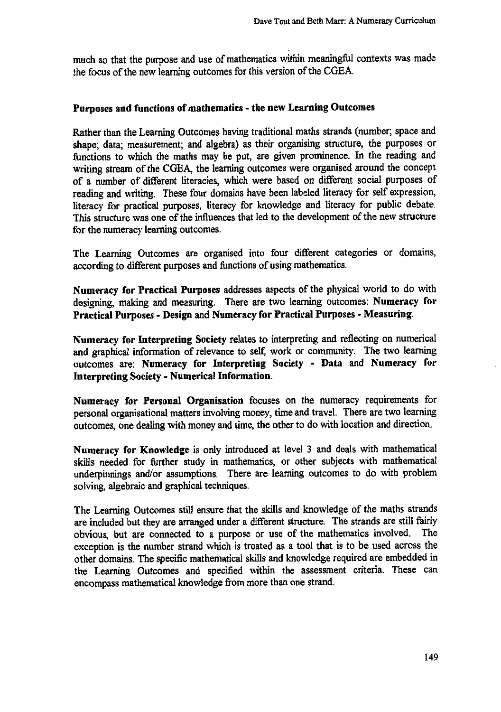**much so that the purpose and use of mathematics within meaningful contexts was made the focus of the new learning outcomes for this version of the CGEA.**

# **Purposes and functions of mathematics - the new Learning Outcomes**

**Rather than the Learning Outcomes having traditional maths strands (number; space and shape; data; measurement; and algebra) as their organising structure, the purposes or functions to which the maths may be put, are given prominence. In the reading and writing stream of the CGEA, the learning outcomes were organised around the concept of a number of different literacies, which were based on different social purposes of reading and writing. These four domains have been labeled literacy for self expression, literacy for practical purposes, literacy for knowledge and literacy for public debate. This structure was one of the influences that led to the development of the new structure for the numeracy learning outcomes.**

**The Learning Outcomes are organised into four different categories or domains, according to different purposes and functions of using mathematics.**

**Numeracy for Practical Purposes addresses aspects of the physical world to do with designing, making and measuring. There are two learning outcomes: Numeracy for Practical Purposes - Design and Numeracy for Practical Purposes - Measuring.**

**Numeracy for Interpreting Society relates to interpreting and reflecting on numerical and graphical information of relevance to self, work or community. The two learning outcomes are: Numeracy for Interpreting Society - Data and Numeracy for Interpreting Society - Numerical Information.**

**Numeracy for Personal Organisation focuses on the numeracy requirements for personal organisational matters involving money, time and travel. There are two learning outcomes, one dealing with money and time, the other to do with location and direction.**

**Numeracy for Knowledge is only introduced at level 3 and deals with mathematical skills needed for further study in mathematics, or other subjects with mathematical underpinnings and/or assumptions. There are learning outcomes to do with problem solving, algebraic and graphical techniques.**

**The Learning Outcomes still ensure that the skills and knowledge of the maths strands are included but they are arranged under a different structure. The strands are still fairly obvious, but are connected to a purpose or use of the mathematics involved. The exception is the number strand which is treated as a tool that is to be used across the other domains. The specific mathematical skills and knowledge required are embedded in the Learning Outcomes and specified within the assessment criteria. These can encompass mathematical knowledge from more than one strand.**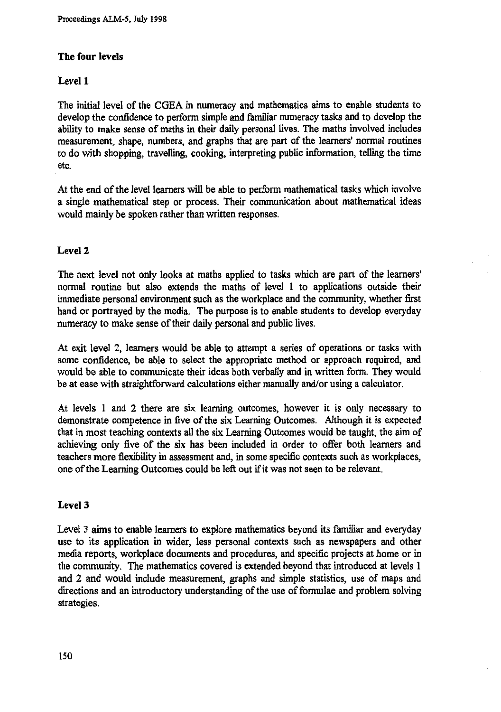# **The four levels**

# **Level 1**

**The initial level of the CGEA in numeracy and mathematics aims to enable students to develop the confidence to perform simple and familiar numeracy tasks and to develop the ability to make sense of maths in their daily personal lives. The maths involved includes measurement, shape, numbers, and graphs that are part of the learners' normal routines to do with shopping, travelling, cooking, interpreting public information, telling the time etc.**

**At the end of the level learners will be able to perform mathematical tasks which involve a single mathematical step or process. Their communication about mathematical ideas would mainly be spoken rather than written responses.**

## **Level 2**

**The next level not only looks at maths applied to tasks which are part of the learners' normal routine but also extends the maths of level 1 to applications outside their immediate personal environment such as the workplace and the community, whether first hand or portrayed by the media. The purpose is to enable students to develop everyday numeracy to make sense of their daily personal and public lives.**

**At exit level 2, learners would be able to attempt a series of operations or tasks with some confidence, be able to select the appropriate method or approach required, and would be able to communicate their ideas both verbally and in written form. They would be at ease with straightforward calculations either manually and/or using a calculator.**

**At levels 1 and 2 there are six learning outcomes, however it is only necessary to demonstrate competence in five of the six Learning Outcomes. Although it is expected that in most teaching contexts all the six Learning Outcomes would be taught, the aim of achieving only five of the six has been included in order to offer both learners and teachers more flexibility in assessment and, in some specific contexts such as workplaces, one of the Learning Outcomes could be left out if it was not seen to be relevant.**

## **Level 3**

**Level** 3 **aims to enable learners to explore mathematics beyond its familiar and everyday use to its application in wider, less personal contexts such as newspapers and other media reports, workplace documents and procedures, and specific projects at home or in the community. The mathematics covered is extended beyond that introduced at levels 1 and 2 and would include measurement, graphs and simple statistics, use of maps and directions and an introductory understanding of the use of formulae and problem solving strategies.**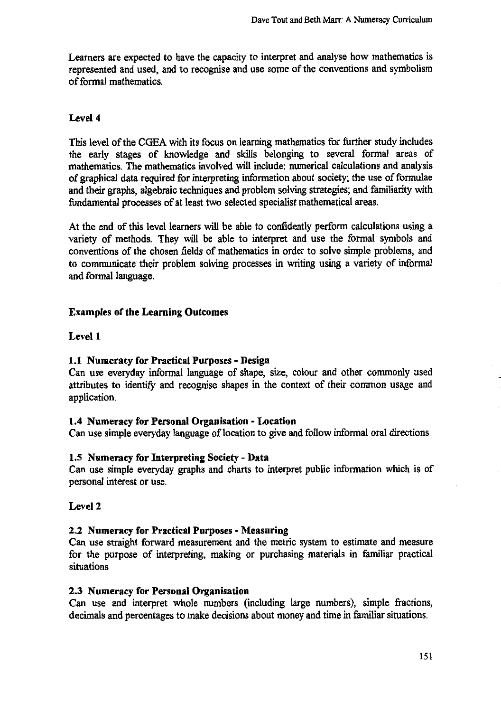Learners are expected to have the capacity to interpret and analyse how mathematics is represented and used, and to recognise and use some of the conventions and symbolism of formal mathematics.

# **Level 4**

This level of the CGEA with its focus on learning mathematics for further study includes the early stages of knowledge and skills belonging to several formal areas of mathematics. The mathematics involved will include: numerical calculations and analysis of graphical data required for interpreting information about society; the use of formulae and their graphs, algebraic techniques and problem solving strategies; and familiarity with fundamental processes of at least two selected specialist mathematical areas.

At the end of this level learners will be able to confidently perform calculations using a variety of methods. They will be able to interpret and use the formal symbols and conventions of the chosen fields of mathematics in order to solve simple problems, and to communicate their problem solving processes in writing using a variety of informal and formal language.

# **Examples of the Learning Outcomes**

# **Level 1**

# **it Numeracy for Practical Purposes - Design**

Can use everyday informal language of shape, size, colour and other commonly used attributes to identify and recognise shapes in the context of their common usage and application.

## **1.4 Numeracy for Personal Organisation - Location**

Can use simple everyday language of location to give and follow informal oral directions.

## **1.5 Numeracy for Interpreting Society - Data**

Can use simple everyday graphs and charts to interpret public information which is of personal interest or use.

# **Level 2**

## **2.2 Numeracy for Practical Purposes - Measuring**

Can use straight forward measurement and the metric system to estimate and measure for the purpose of interpreting, making or purchasing materials in familiar practical situations

## **2.3 Numeracy for Personal Organisation**

Can use and interpret whole numbers (including large numbers), simple fractions, decimals and percentages to make decisions about money and time in familiar situations.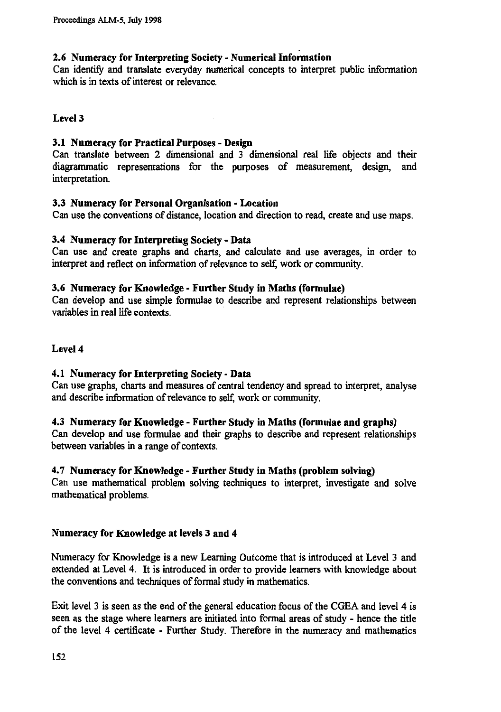# **2.6 Numeracy for Interpreting Society - Numerical Information**

Can identify and translate everyday numerical concepts to interpret public information which is in texts of interest or relevance.

# **Level 3**

## **3.1 Numeracy for Practical Purposes - Design**

Can translate between 2 dimensional and 3 dimensional real life objects and their diagrammatic representations for the purposes of measurement, design, and interpretation.

## **3.3 Numeracy for Personal Organisation - Location**

Can use the conventions of distance, location and direction to read, create and use maps.

## **3.4 Numeracy for Interpreting Society - Data**

Can use and create graphs and charts, and calculate and use averages, in order to interpret and reflect on information of relevance to self, work or community.

## **3.6 Numeracy for Knowledge - Further Study in Maths (formulae)**

Can develop and use simple formulae to describe and represent relationships between variables in real life contexts.

## **Level 4**

# **4.1 Numeracy for Interpreting Society - Data**

Can use graphs, charts and measures of central tendency and spread to interpret, analyse and describe information of relevance to self, work or community.

## **4.3 Numeracy for Knowledge - Further Study in Maths (formulae and graphs)**

Can develop and use formulae and their graphs to describe and represent relationships between variables in a range of contexts.

# **4.7 Numeracy for Knowledge - Further Study in Maths (problem solving)**

Can use mathematical problem solving techniques to interpret, investigate and solve mathematical problems.

## **Numeracy for Knowledge at levels 3 and 4**

Numeracy for Knowledge is a new Learning Outcome that is introduced at Level 3 and extended at Level 4. It is introduced in order to provide learners with knowledge about the conventions and techniques of formal study in mathematics.

Exit level 3 is seen as the end of the general education focus of the CGEA and level 4 is seen as the stage where learners are initiated into formal areas of study - hence the title of the level 4 certificate - Further Study. Therefore in the numeracy and mathematics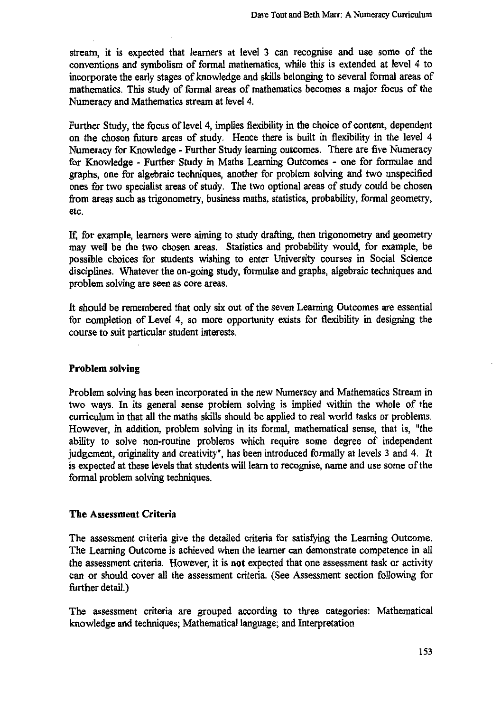**stream, it is expected that learners at level 3 can recognise and use some of the conventions and symbolism of formal mathematics, while this is extended at level 4 to incorporate the early stages of knowledge and skills belonging to several formal areas of mathematics. This study of formal areas of mathematics becomes a major focus of the Numeracy and Mathematics stream at level 4.**

**Further Study, the focus of level 4, implies flexibility in the choice of content, dependent on the chosen future areas of study. Hence there is built in flexibility in the level 4 Numeracy for Knowledge - Further Study learning outcomes. There are five Numeracy for Knowledge - Further Study in Maths Learning Outcomes - one for formulae and graphs, one for algebraic techniques, another for problem solving and two unspecified ones for two specialist areas of study. The two optional areas of study could be chosen from areas such as trigonometry, business maths, statistics, probability, formal geometry, etc.**

**for example, learners were aiming to study drafting, then trigonometry and geometry may well be the two chosen areas. Statistics and probability would, for example, be possible choices for students wishing to enter University courses in Social Science disciplines. Whatever the on-going study, formulae and graphs, algebraic techniques and problem solving are seen as core areas.**

**It should be remembered that only six out of the seven Learning Outcomes are essential for completion of Level 4, so more opportunity exists for flexibility in designing the course to suit particular student interests.**

## **Problem solving**

**Problem solving has been incorporated in the new Numeracy and Mathematics Stream in two ways. In its general sense problem solving is implied within the whole of the curriculum in that all the maths skills should be applied to real world tasks or problems. However, in addition, problem solving in its formal, mathematical sense, that is, "the ability to solve non-routine problems which require some degree of independent judgement, originality and creativity", has been introduced formally at levels 3 and 4. It is expected at these levels that students will learn to recognise, name and use some of the formal problem solving techniques.**

# **The Assessment Criteria**

**The assessment criteria give the detailed criteria for satisfying the Learning Outcome. The Learning Outcome is achieved when the learner can demonstrate competence in all the assessment criteria. However, it is not expected that one assessment task or activity can or should cover all the assessment criteria. (See Assessment section following for further detail.)**

**The assessment criteria are grouped according to three categories: Mathematical knowledge and techniques; Mathematical language; and Interpretation**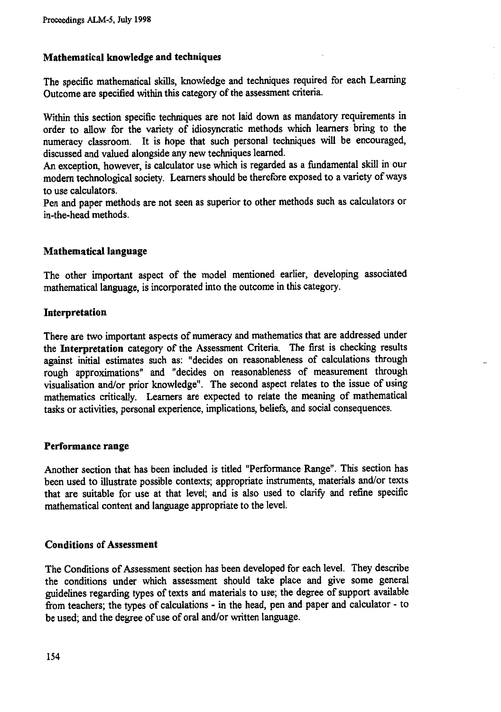# **Mathematical knowledge and techniques**

**The specific mathematical skills, knowledge and techniques required for each Learning Outcome are specified within this category of the assessment criteria.**

**Within this section specific techniques are not laid down as mandatory requirements in order to allow for the variety of idiosyncratic methods which learners bring to the numeracy classroom. It is hope that such personal techniques will be encouraged, discussed and valued alongside any new techniques learned.**

**An exception, however, is calculator use which is regarded as a fundamental skill in our modem technological society. Learners should be therefore exposed to a variety of ways to use calculators.**

**Pen and paper methods are not seen as superior to other methods such as calculators or in-the-head methods.**

## **Mathematical language**

**The other important aspect of the model mentioned earlier, developing associated mathematical language, is incorporated into the outcome in this category.**

## **Interpretation**

**There are two important aspects of numeracy and mathematics that are addressed under the Interpretation category of the Assessment Criteria. The first is checking results against initial estimates such as: "decides on reasonableness of calculations through rough approximations" and "decides on reasonableness of measurement through visualisation and/or prior knowledge". The second aspect relates to the issue of using mathematics critically. Learners are expected to relate the meaning of mathematical tasks or activities, personal experience, implications, beliefs, and social consequences.**

## **Performance range**

**Another section that has been included is titled "Performance Range". This section has been used to illustrate possible contexts; appropriate instruments, materials and/or texts that are suitable for use at that level; and is also used to clarify and refine specific mathematical content and language appropriate to the level.**

## **Conditions of Assessment**

**The Conditions of Assessment section has been developed for each level. They describe the conditions under which assessment should take place and give some general guidelines regarding types of texts and materials to use; the degree of support available from teachers; the types of calculations - in the head, pen and paper and calculator - to be used; and the degree of use of oral and/or written language.**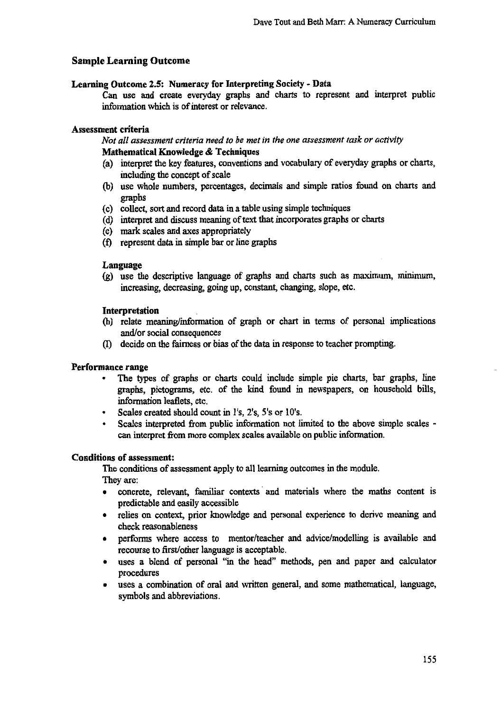# **Sample Learning Outcome**

#### **Learning Outcome 2.5: Numeracy for Interpreting Society - Data**

**Can use and create everyday graphs and charts to represent and interpret public information which is of interest or relevance.**

## **Assessment criteria**

*Not all assessment criteria need to be met in the one assessment task or activity* **Mathematical Knowledge & Techniques**

- **(a) interpret the key features, conventions and vocabulary of everyday graphs or charts, including the concept of scale**
- **(b) use whole numbers, percentages, decimals and simple ratios found on charts and graphs**
- **(c) collect, sort and record data in a table using simple techniques**
- **(d) interpret and discuss meaning of text that incorporates graphs or charts**
- **(e) mark scales and axes appropriately**
- **(f) represent data in simple bar or line graphs**

#### **Language**

**(g) use the descriptive language of graphs and charts such as maximum, minimum, increasing, decreasing, going up, constant, changing, slope, etc.**

#### **Interpretation**

- **(h) relate meaning/information of graph or chart in terms of personal implications and/or social consequences**
- **(I) decide on the fairness or bias of the data in response to teacher prompting.**

#### **Performance range**

- **• The types of graphs or charts could include simple pie charts, bar graphs, line graphs, pictograms, etc. of the kind found in newspapers, on household bills, information leaflets, etc.**
- **• Scales created should count in l's, 2's, 5's or 10's.**
- **• Scales interpreted from public information not limited to the above simple scales can interpret from more complex scales available on public information.**

#### **Conditions of assessment:**

**The conditions of assessment apply to all learning outcomes in the module. They are:**

- **• concrete, relevant, familiar contexts and materials where the maths content is predictable and easily accessible**
- **• relies on context, prior knowledge and personal experience to derive meaning and check reasonableness**
- **• performs where access to mentor/teacher and advice/modelling is available and recourse to first/other language is acceptable.**
- **• uses a blend of personal "in the head" methods, pen and paper and calculator procedures**
- **• uses a combination of oral and written general, and some mathematical, language, symbols and abbreviations.**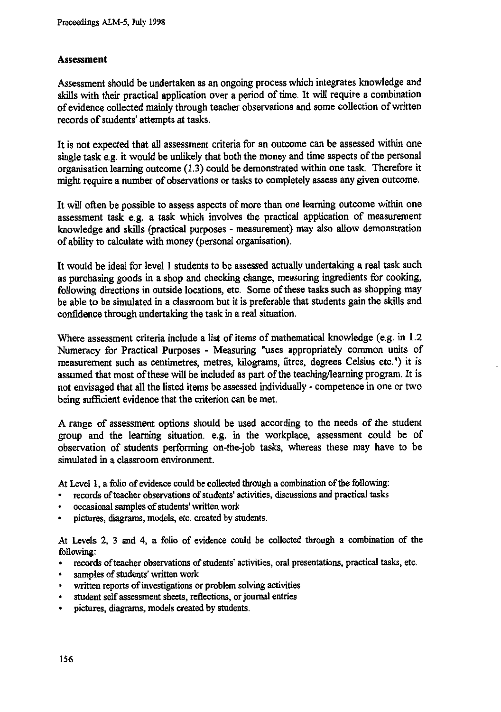## **Assessment**

**Assessment should be undertaken as an ongoing process which integrates knowledge and skills with their practical application over a period of time. It will require a combination of evidence collected mainly through teacher observations and some collection of written records of students' attempts at tasks.**

**It is not expected that all assessment criteria for an outcome can be assessed within one single task e.g. it would be unlikely that both the money and time aspects of the personal organisation learning outcome (1.3) could be demonstrated within one task. Therefore it might require a number of observations or tasks to completely assess any given outcome.**

**It will often be possible to assess aspects of more than one learning outcome within one assessment task e.g. a task which involves the practical application of measurement knowledge and skills (practical purposes - measurement) may also allow demonstration of ability to calculate with money (personal organisation).**

**It would be ideal for level 1 students to be assessed actually undertaking a real task such as purchasing goods in a shop and checking change, measuring ingredients for cooking, following directions in outside locations, etc. Some of these tasks such as shopping may** *be* **able to** *be* **simulated in a classroom but it is preferable that students gain the skills and confidence through undertaking the task in a real situation.**

**Where assessment criteria include a list of items of mathematical knowledge (e.g. in 1.2 Numeracy for Practical Purposes - Measuring "uses appropriately common units of measurement such as centimetres, metres, kilograms, litres, degrees Celsius etc.") it is assumed that most of these will be included as part of the teaching/learning program. It is not envisaged that all the listed items be assessed individually - competence in one or two being sufficient evidence that the criterion can be met.**

**A range of assessment options should be used according to the needs of the student group and the learning situation. e.g. in the workplace, assessment could be of observation of students performing on-the-job tasks, whereas these may have to be simulated in a classroom environment.**

**At Level 1, a folio of evidence could be collected through a combination of the following:**

- **• records of teacher observations of students' activities, discussions and practical tasks**
- **• occasional samples of students' written work**
- **• pictures, diagrams, models, etc. created by students.**

**At Levels 2, 3 and 4, a folio of evidence could be collected through a combination of the following:**

- **• records of teacher observations of students' activities, oral presentations, practical tasks, etc.**
- **• samples of students' written work**
- **• written reports of investigations or problem solving activities**
- **• student self assessment sheets, reflections, or journal entries**
- **• pictures, diagrams, models created by students.**